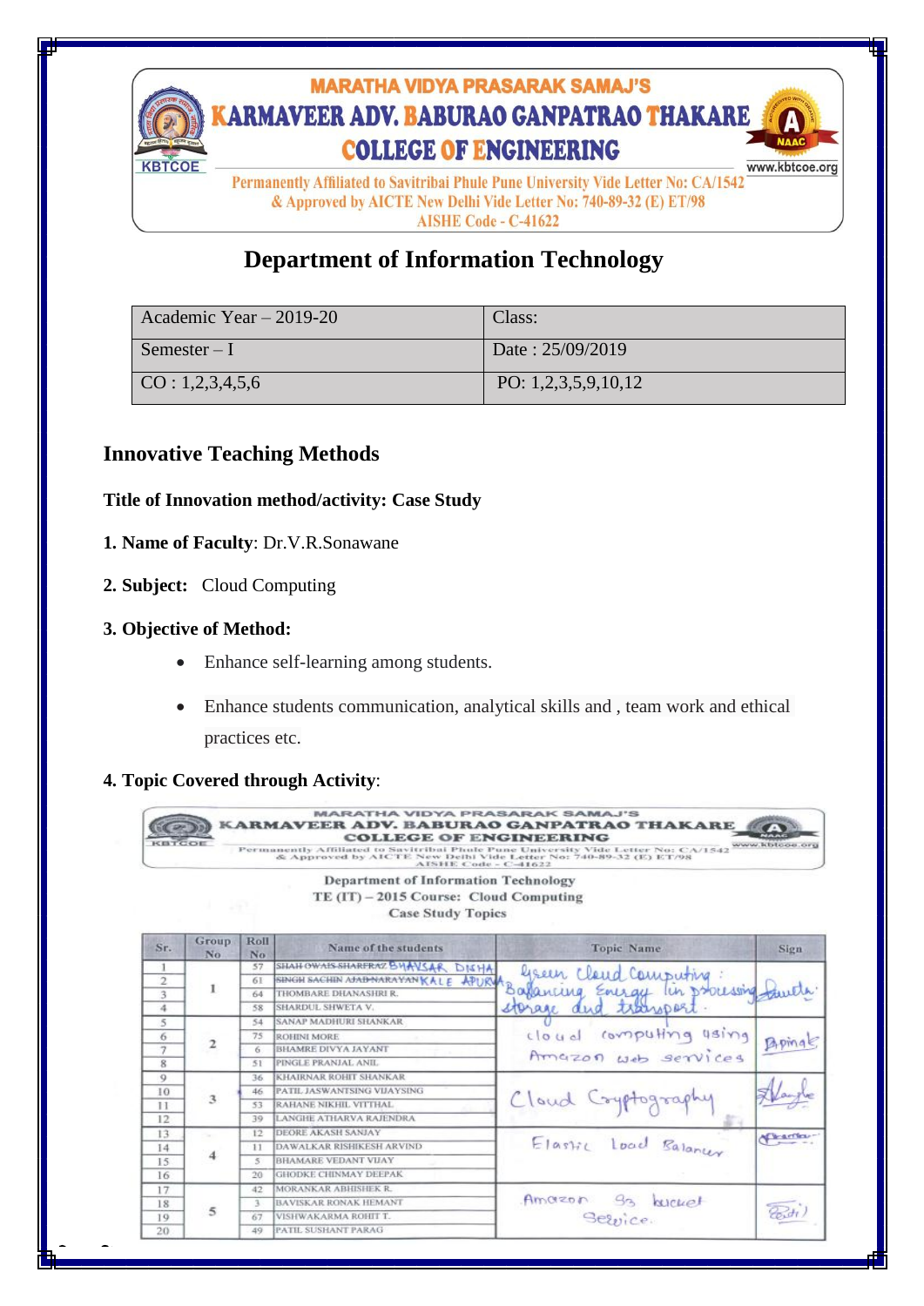

**AISHE Code - C-41622** 

# **Department of Information Technology**

| Academic Year $-2019-20$          | Class:                |
|-----------------------------------|-----------------------|
| Semester $-I$                     | Date: 25/09/2019      |
| $\overline{CO}: 1, 2, 3, 4, 5, 6$ | PO: $1,2,3,5,9,10,12$ |

# **Innovative Teaching Methods**

**Title of Innovation method/activity: Case Study**

**1. Name of Faculty**: Dr.V.R.Sonawane

**2. Subject:** Cloud Computing

### **3. Objective of Method:**

- Enhance self-learning among students.
- Enhance students communication, analytical skills and , team work and ethical practices etc.

### **4. Topic Covered through Activity**:

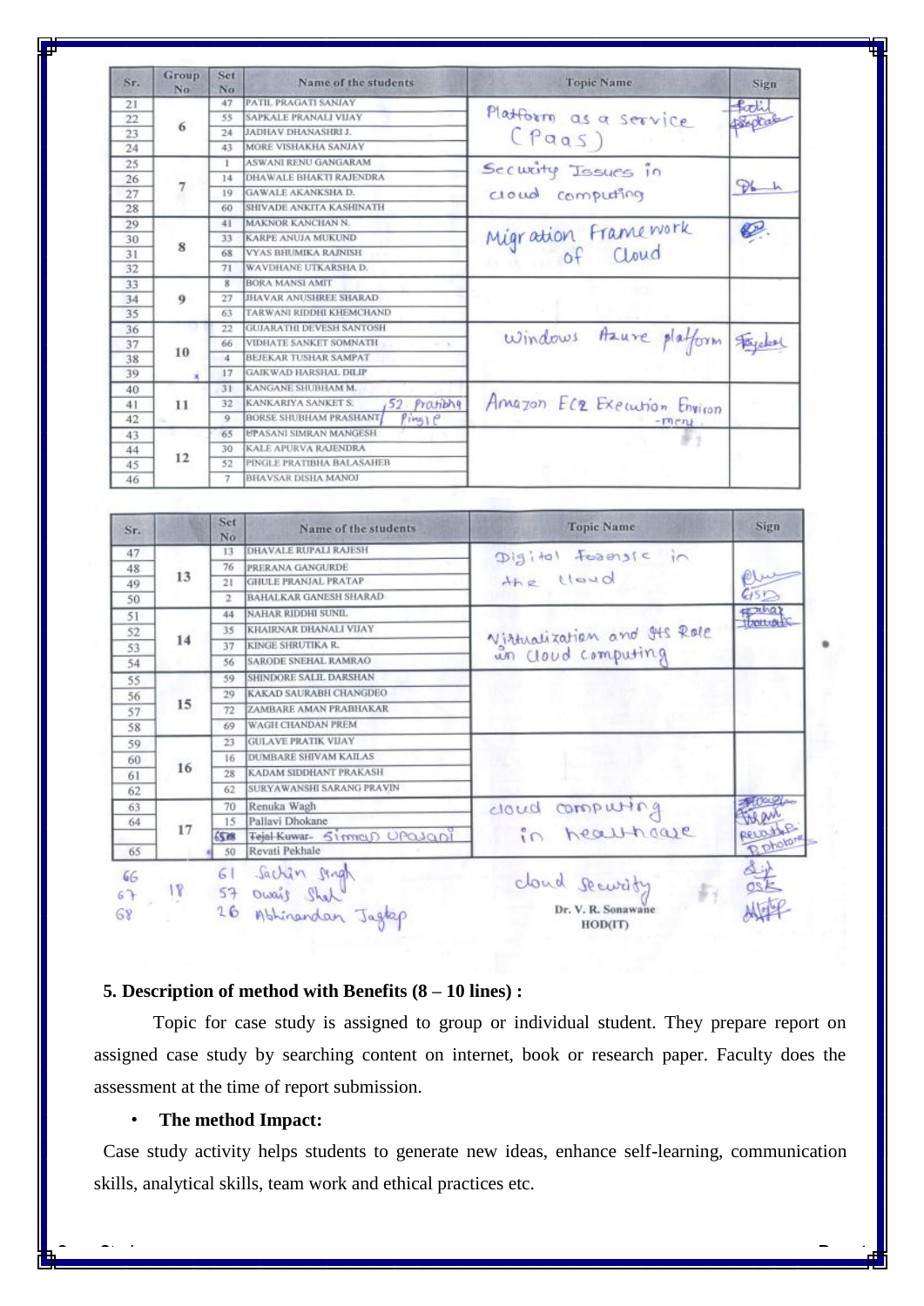| Sr. | Group<br>No. | Set<br>No                  | Name of the students                         | <b>Topic Name</b>              | Sign   |
|-----|--------------|----------------------------|----------------------------------------------|--------------------------------|--------|
| 21  |              | PATIL PRAGATI SANJAY<br>47 |                                              |                                | Path   |
| 22  |              | 55                         | SAPKALE PRANALI VIJAY                        | Platform as a service          | Bookak |
| 23  | 6            | 24                         | JADHAV DHANASHRI J.                          | (Paas)                         |        |
| 24  |              | 43                         | MORE VISHAKHA SANJAY                         |                                |        |
| 25  |              |                            | ASWANI RENU GANGARAM                         |                                |        |
| 26  |              | 14                         | DHAWALE BHAKTI RAJENDRA                      | Security Issues in             |        |
| 27  |              | 19                         | <b>GAWALE AKANKSHA D.</b>                    | cloud computing                | DL.    |
| 28  |              | 60                         | SHIVADE ANKITA KASHINATH                     |                                |        |
| 29  |              | 41                         | MAKNOR KANCHAN N.                            |                                |        |
| 30  |              | 33                         | KARPE ANUJA MUKUND                           |                                | Ø      |
| 31  | 8            | 68                         | VYAS BHUMIKA RAJNISH                         | Migration Framework            |        |
| 32  |              | 71                         | WAVDHANE UTKARSHA D.                         |                                |        |
| 33  |              | R                          | <b>BORA MANSI AMIT</b>                       |                                |        |
| 34  | $\bf{Q}$     | 27                         | JHAVAR ANUSHREE SHARAD                       |                                |        |
| 35  |              | 63                         | TARWANI RIDDHI KHEMCHAND                     |                                |        |
| 36  |              | 22                         | <b>GUJARATHI DEVESH SANTOSH</b>              |                                |        |
| 37  |              | 66                         | VIDHATE SANKET SOMNATH<br>$-76$              | windows Azure platform Fighter |        |
| 38  | 10           | 4                          | <b>BEJEKAR TUSHAR SAMPAT</b>                 |                                |        |
| 39  | ×            | 17                         | <b>GAIKWAD HARSHAL DILIP</b>                 |                                |        |
| 40  |              | 31                         | KANGANE SHUBHAM M.                           |                                |        |
| 41  | 11           | 32                         | prationa<br><b>KANKARIYA SANKET S.</b><br>52 | Amazon EL2 Execution Environ   |        |
| 42  |              | $\circ$                    | BORSE SHUBHAM PRASHANT<br>Pingie             | -ment.                         |        |
| 43  |              | 65                         | FIPASANI SIMRAN MANGESH                      |                                |        |
| 44  |              | 30                         | <b>KALE APURVA RAJENDRA</b>                  |                                |        |
| 45  | 12           | 52                         | PINGLE PRATIBHA BALASAHEB                    |                                |        |
| 46  |              | $\overline{7}$             | BHAVSAR DISHA MANOJ                          |                                |        |

| Sr. |    | Set<br>No    | Name of the students          | <b>Topic Name</b>                                 | <b>Sign</b>       |
|-----|----|--------------|-------------------------------|---------------------------------------------------|-------------------|
| 47  |    | 13           | DHAVALE RUPALI RAJESH         | Digital formate in                                |                   |
| 48  |    | 76           | PRERANA GANGURDE              |                                                   |                   |
| 49  | 13 | 21           | <b>GHULE PRANJAL PRATAP</b>   | the lloud                                         | Olut              |
| 50  |    | 2            | <b>BAHALKAR GANESH SHARAD</b> |                                                   | GSD               |
| 51  |    | 44           | <b>NAHAR RIDDHI SUNIL</b>     |                                                   | <b>BOULDED</b>    |
| 52  |    | 35           | KHAIRNAR DHANALI VIJAY        |                                                   | <b>TLACKLASS</b>  |
| 53  | 14 | 37           | KINGE SHRUTIKA R.             | Virtualization and Its Role<br>in Cloud computing |                   |
| 54  |    | 56           | <b>SARODE SNEHAL RAMRAO</b>   |                                                   |                   |
| 55  |    | 59           | SHINDORE SALIL DARSHAN        |                                                   |                   |
| 56  |    | 29           | KAKAD SAURABH CHANGDEO        |                                                   |                   |
| 57  | 15 | 72           | ZAMBARE AMAN PRABHAKAR        |                                                   |                   |
| 58  |    | 69           | <b>WAGH CHANDAN PREM</b>      |                                                   |                   |
| 59  |    | 23           | <b>GULAVE PRATIK VIJAY</b>    |                                                   |                   |
| 60  |    | 16           | DUMBARE SHIVAM KAILAS         |                                                   |                   |
| 61  | 16 | 28           | KADAM SIDDHANT PRAKASH        |                                                   |                   |
| 62  |    | 62           | SURYAWANSHI SARANG PRAVIN     |                                                   |                   |
| 63  |    | 70           | Renuka Wagh                   | doud computing                                    | <b>SHIPPLAN</b>   |
| 64  |    | 15           | Pallavi Dhokane               |                                                   | Wer               |
|     | 17 | <b>ASTER</b> | Tejal Kuwar- Simmoun UPQJONI  | in healthoave                                     | perathe           |
| 65  |    | 50           | Revati Pekhale                |                                                   | <b>B.</b> Photone |
|     |    | 61           | Sachin singh                  |                                                   |                   |
| 66  | 18 |              |                               | cloud security                                    | 鹾                 |
| 67  |    | 57           | Owais Shal                    |                                                   |                   |
| 68  |    |              | 26 Abhinandar Jagtap          | Dr. V. R. Sonawane<br>HOD(IT)                     |                   |

#### **5. Description of method with Benefits (8 – 10 lines) :**

 Topic for case study is assigned to group or individual student. They prepare report on assigned case study by searching content on internet, book or research paper. Faculty does the assessment at the time of report submission.

### • **The method Impact:**

Case study activity helps students to generate new ideas, enhance self-learning, communication skills, analytical skills, team work and ethical practices etc.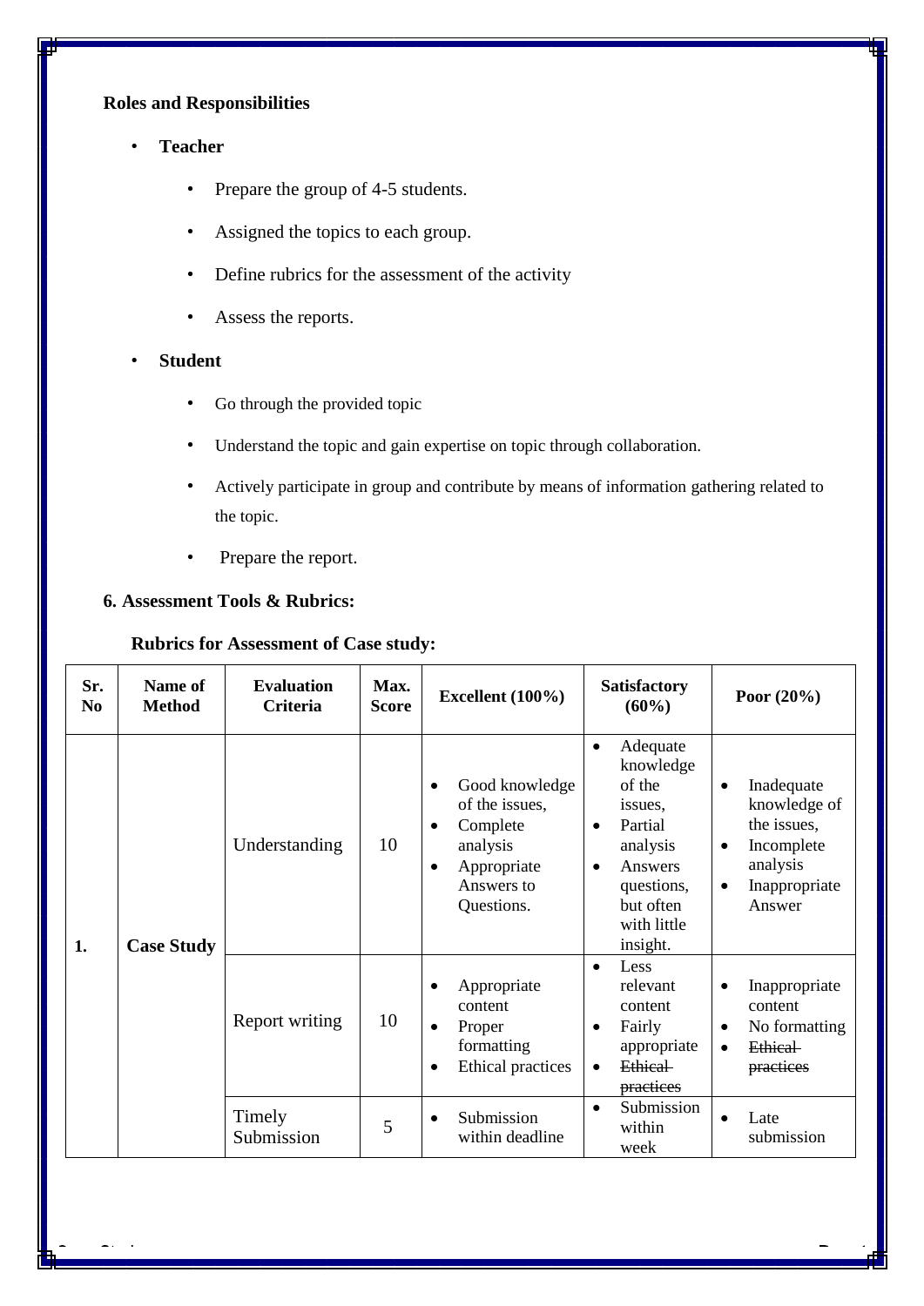## **Roles and Responsibilities**

- **Teacher**
	- Prepare the group of 4-5 students.
	- Assigned the topics to each group.
	- Define rubrics for the assessment of the activity
	- Assess the reports.
- **Student**
	- Go through the provided topic
	- Understand the topic and gain expertise on topic through collaboration.
	- Actively participate in group and contribute by means of information gathering related to the topic.
	- Prepare the report.

### **6. Assessment Tools & Rubrics:**

#### **Rubrics for Assessment of Case study:**

| Sr.<br>N <sub>0</sub> | Name of<br><b>Method</b> | <b>Evaluation</b><br>Criteria | Max.<br><b>Score</b> | Excellent $(100\%)$                                                                                                                        | <b>Satisfactory</b><br>(60%)                                                                                                                                              | Poor $(20\%)$                                                                                                                         |
|-----------------------|--------------------------|-------------------------------|----------------------|--------------------------------------------------------------------------------------------------------------------------------------------|---------------------------------------------------------------------------------------------------------------------------------------------------------------------------|---------------------------------------------------------------------------------------------------------------------------------------|
| 1.                    | <b>Case Study</b>        | Understanding                 | 10                   | Good knowledge<br>$\bullet$<br>of the issues,<br>Complete<br>$\bullet$<br>analysis<br>Appropriate<br>$\bullet$<br>Answers to<br>Questions. | Adequate<br>$\bullet$<br>knowledge<br>of the<br>issues,<br>Partial<br>$\bullet$<br>analysis<br>Answers<br>$\bullet$<br>questions,<br>but often<br>with little<br>insight. | Inadequate<br>$\bullet$<br>knowledge of<br>the issues,<br>Incomplete<br>$\bullet$<br>analysis<br>Inappropriate<br>$\bullet$<br>Answer |
|                       |                          | Report writing                | 10                   | Appropriate<br>content<br>Proper<br>$\bullet$<br>formatting<br>Ethical practices<br>$\bullet$                                              | Less<br>$\bullet$<br>relevant<br>content<br>Fairly<br>$\bullet$<br>appropriate<br><b>Ethical</b><br>$\bullet$<br><i>practices</i>                                         | Inappropriate<br>$\bullet$<br>content<br>No formatting<br>$\bullet$<br>Ethical<br>$\bullet$<br>practices                              |
|                       |                          | Timely<br>Submission          | 5                    | Submission<br>$\bullet$<br>within deadline                                                                                                 | Submission<br>$\bullet$<br>within<br>week                                                                                                                                 | Late<br>$\bullet$<br>submission                                                                                                       |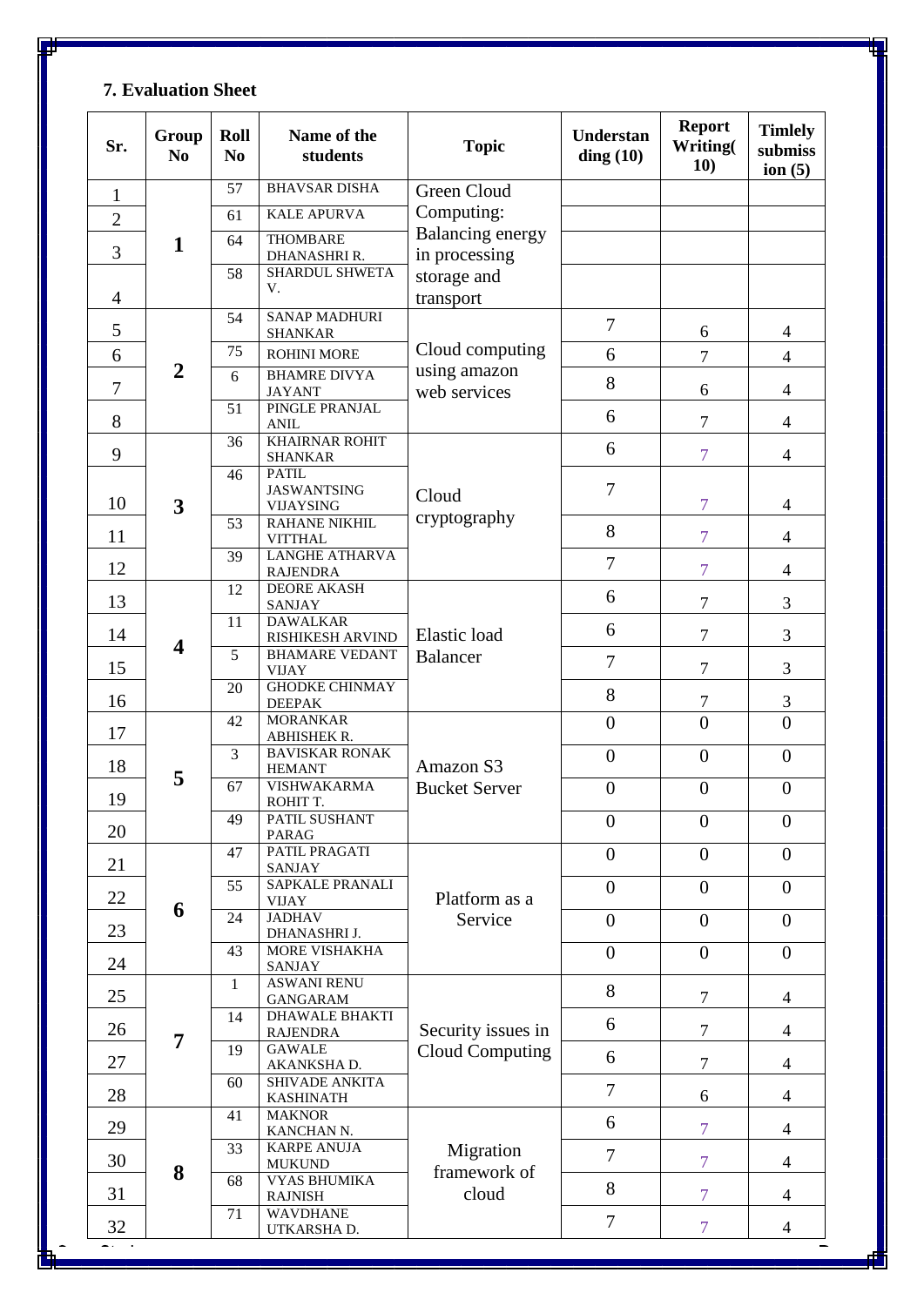# **7. Evaluation Sheet**

| Sr.            | Group<br>N <sub>0</sub> | Roll<br>N <sub>o</sub> | Name of the<br>students                   | <b>Topic</b>                                 | Understan<br>$\dim g(10)$ | <b>Report</b><br>Writing(<br>10) | <b>Timlely</b><br>submiss<br>ion $(5)$ |
|----------------|-------------------------|------------------------|-------------------------------------------|----------------------------------------------|---------------------------|----------------------------------|----------------------------------------|
| $\mathbf{1}$   |                         | 57                     | <b>BHAVSAR DISHA</b>                      | Green Cloud                                  |                           |                                  |                                        |
| $\overline{2}$ |                         | 61                     | <b>KALE APURVA</b>                        | Computing:                                   |                           |                                  |                                        |
| 3              | $\mathbf{1}$            | 64                     | <b>THOMBARE</b><br>DHANASHRI R.           | Balancing energy<br>in processing            |                           |                                  |                                        |
|                |                         | 58                     | SHARDUL SHWETA                            | storage and                                  |                           |                                  |                                        |
| $\overline{4}$ |                         |                        | V.                                        | transport                                    |                           |                                  |                                        |
| 5              |                         | 54                     | <b>SANAP MADHURI</b><br><b>SHANKAR</b>    |                                              | $\overline{7}$            | 6                                | $\overline{\mathcal{L}}$               |
| 6              |                         | 75                     | ROHINI MORE                               | Cloud computing                              | 6                         | $\overline{7}$                   | $\overline{4}$                         |
| $\tau$         | $\boldsymbol{2}$        | 6                      | <b>BHAMRE DIVYA</b><br><b>JAYANT</b>      | using amazon<br>web services                 | 8                         | 6                                | $\overline{\mathcal{L}}$               |
| 8              |                         | 51                     | PINGLE PRANJAL<br><b>ANIL</b>             |                                              | 6                         | 7                                | $\overline{4}$                         |
| 9              |                         | 36                     | <b>KHAIRNAR ROHIT</b>                     |                                              | 6                         | $\overline{7}$                   | $\overline{4}$                         |
|                |                         | 46                     | <b>SHANKAR</b><br><b>PATIL</b>            |                                              |                           |                                  |                                        |
| 10             | 3                       |                        | <b>JASWANTSING</b><br><b>VIJAYSING</b>    | Cloud                                        | $\overline{7}$            | $\overline{7}$                   | 4                                      |
| 11             |                         | 53                     | <b>RAHANE NIKHIL</b><br><b>VITTHAL</b>    | cryptography                                 | 8                         | $\overline{7}$                   | $\overline{4}$                         |
| 12             |                         | 39                     | <b>LANGHE ATHARVA</b>                     |                                              | $\overline{7}$            | $\overline{7}$                   | $\overline{4}$                         |
| 13             |                         | 12                     | <b>RAJENDRA</b><br><b>DEORE AKASH</b>     |                                              | 6                         | $\overline{7}$                   | 3                                      |
|                | 4                       | 11                     | SANJAY<br><b>DAWALKAR</b>                 | Elastic load                                 |                           |                                  |                                        |
| 14             |                         | 5                      | RISHIKESH ARVIND<br><b>BHAMARE VEDANT</b> |                                              | 6                         | $\tau$                           | 3                                      |
| 15             |                         |                        | <b>VIJAY</b>                              | <b>Balancer</b>                              | $\overline{7}$            | 7                                | 3                                      |
| 16             |                         | 20                     | <b>GHODKE CHINMAY</b><br><b>DEEPAK</b>    |                                              | 8                         | 7                                | $\mathfrak{Z}$                         |
| 17             |                         | 42                     | <b>MORANKAR</b><br><b>ABHISHEK R.</b>     | Amazon S3                                    | $\boldsymbol{0}$          | $\overline{0}$                   | $\overline{0}$                         |
| 18             |                         | 3                      | <b>BAVISKAR RONAK</b><br><b>HEMANT</b>    |                                              | $\boldsymbol{0}$          | $\overline{0}$                   | $\mathbf{0}$                           |
| 19             | 5                       | 67                     | <b>VISHWAKARMA</b><br>ROHIT T.            | <b>Bucket Server</b>                         | $\overline{0}$            | $\overline{0}$                   | $\overline{0}$                         |
| 20             |                         | 49                     | PATIL SUSHANT<br>PARAG                    |                                              | $\overline{0}$            | $\theta$                         | $\overline{0}$                         |
| 21             |                         | 47                     | PATIL PRAGATI<br>SANJAY                   |                                              | $\overline{0}$            | $\overline{0}$                   | $\overline{0}$                         |
| 22             |                         | 55                     | SAPKALE PRANALI                           | Platform as a                                | $\boldsymbol{0}$          | $\overline{0}$                   | $\mathbf{0}$                           |
| 23             | 6                       | 24                     | VIJAY<br><b>JADHAV</b>                    | Service                                      | $\boldsymbol{0}$          | $\overline{0}$                   | $\overline{0}$                         |
| 24             |                         | 43                     | DHANASHRI J.<br>MORE VISHAKHA             |                                              | $\boldsymbol{0}$          | $\boldsymbol{0}$                 | $\mathbf{0}$                           |
|                |                         | $\mathbf{1}$           | SANJAY<br><b>ASWANI RENU</b>              |                                              | 8                         |                                  |                                        |
| 25             |                         | 14                     | <b>GANGARAM</b><br><b>DHAWALE BHAKTI</b>  |                                              | 6                         | $\tau$                           | $\overline{4}$                         |
| 26             | 7                       | 19                     | <b>RAJENDRA</b><br><b>GAWALE</b>          | Security issues in<br><b>Cloud Computing</b> | 6                         | $\overline{7}$                   | $\overline{4}$                         |
| 27             |                         | 60                     | AKANKSHA D.<br>SHIVADE ANKITA             |                                              |                           | $\overline{7}$                   | $\overline{4}$                         |
| 28             |                         | 41                     | <b>KASHINATH</b><br><b>MAKNOR</b>         |                                              | $\tau$                    | 6                                | $\overline{4}$                         |
| 29             |                         |                        | KANCHAN N.                                |                                              | 6                         | $\overline{7}$                   | $\overline{4}$                         |
| 30             | 8                       | 33                     | <b>KARPE ANUJA</b><br><b>MUKUND</b>       | Migration<br>framework of                    | $\overline{7}$            | $\overline{7}$                   | $\overline{4}$                         |
| 31             |                         | 68                     | <b>VYAS BHUMIKA</b><br><b>RAJNISH</b>     | cloud                                        | 8                         | $\overline{7}$                   | $\overline{4}$                         |
| 32             |                         | 71                     | <b>WAVDHANE</b><br>UTKARSHA D.            |                                              | $\tau$                    | $\overline{7}$                   | $\overline{4}$                         |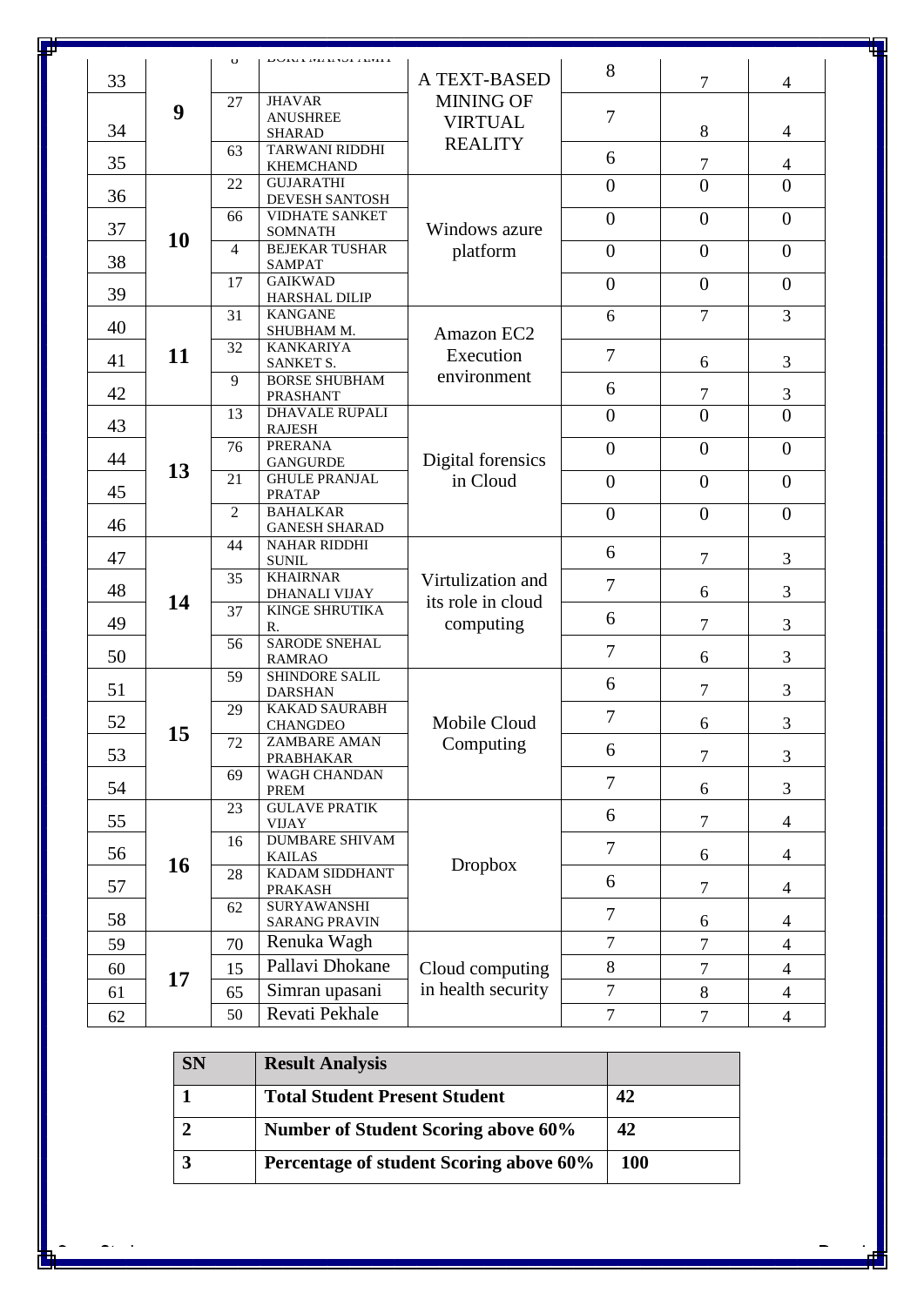|    |    | $\circ$               | דוואים זמגיוטו עיטרא                    |                               |                  |                |                  |  |
|----|----|-----------------------|-----------------------------------------|-------------------------------|------------------|----------------|------------------|--|
| 33 |    |                       |                                         | A TEXT-BASED                  | 8                | 7              | 4                |  |
|    | 9  | 27                    | <b>JHAVAR</b>                           | <b>MINING OF</b>              |                  |                |                  |  |
| 34 |    |                       | <b>ANUSHREE</b><br><b>SHARAD</b>        | <b>VIRTUAL</b>                | $\tau$           | 8              | 4                |  |
|    |    | 63                    | <b>TARWANI RIDDHI</b>                   | <b>REALITY</b>                | 6                |                |                  |  |
| 35 |    |                       | <b>KHEMCHAND</b>                        |                               |                  | 7              | $\overline{4}$   |  |
| 36 |    | 22                    | <b>GUJARATHI</b><br>DEVESH SANTOSH      |                               | $\boldsymbol{0}$ | $\overline{0}$ | $\overline{0}$   |  |
|    |    | 66                    | <b>VIDHATE SANKET</b>                   |                               | $\overline{0}$   | $\overline{0}$ | $\overline{0}$   |  |
| 37 | 10 | $\overline{4}$        | <b>SOMNATH</b><br><b>BEJEKAR TUSHAR</b> | Windows azure                 | $\boldsymbol{0}$ | $\overline{0}$ |                  |  |
| 38 |    |                       | <b>SAMPAT</b>                           | platform                      |                  |                | $\overline{0}$   |  |
| 39 |    | 17                    | <b>GAIKWAD</b>                          |                               | $\boldsymbol{0}$ | $\overline{0}$ | $\overline{0}$   |  |
|    |    | 31                    | HARSHAL DILIP<br><b>KANGANE</b>         |                               | 6                | $\overline{7}$ | 3                |  |
| 40 |    |                       | SHUBHAM M.                              | Amazon EC2                    |                  |                |                  |  |
| 41 | 11 | 32                    | <b>KANKARIYA</b><br>SANKET S.           | Execution                     | $\tau$           | 6              | 3                |  |
|    |    | 9                     | <b>BORSE SHUBHAM</b>                    | environment                   | 6                |                |                  |  |
| 42 |    |                       | PRASHANT<br><b>DHAVALE RUPALI</b>       |                               |                  | 7              | 3                |  |
| 43 |    | 13                    | <b>RAJESH</b>                           |                               | $\overline{0}$   | $\theta$       | $\overline{0}$   |  |
| 44 |    | 76                    | <b>PRERANA</b>                          |                               | $\boldsymbol{0}$ | $\overline{0}$ | $\boldsymbol{0}$ |  |
|    | 13 | <b>GANGURDE</b><br>21 | <b>GHULE PRANJAL</b>                    | Digital forensics<br>in Cloud | $\overline{0}$   | $\overline{0}$ | $\overline{0}$   |  |
| 45 |    |                       | <b>PRATAP</b>                           |                               |                  |                |                  |  |
| 46 |    | $\overline{2}$        | <b>BAHALKAR</b><br><b>GANESH SHARAD</b> |                               | $\overline{0}$   | $\overline{0}$ | $\overline{0}$   |  |
|    |    | 44                    | <b>NAHAR RIDDHI</b>                     |                               | 6                |                |                  |  |
| 47 |    |                       | <b>SUNIL</b><br><b>KHAIRNAR</b>         |                               |                  | $\overline{7}$ | 3                |  |
| 48 |    | 35                    | DHANALI VIJAY                           | Virtulization and             | $\overline{7}$   | 6              | 3                |  |
| 49 | 14 | 37                    | <b>KINGE SHRUTIKA</b>                   | its role in cloud             | 6                | $\overline{7}$ |                  |  |
|    |    | 56                    | R.<br><b>SARODE SNEHAL</b>              | computing                     |                  |                | 3                |  |
| 50 |    |                       | <b>RAMRAO</b>                           |                               | $\overline{7}$   | 6              | 3                |  |
| 51 |    | 59                    | <b>SHINDORE SALIL</b><br><b>DARSHAN</b> |                               | 6                | $\overline{7}$ | 3                |  |
|    |    | 29                    | <b>KAKAD SAURABH</b>                    |                               | $\overline{7}$   |                |                  |  |
| 52 | 15 |                       | <b>CHANGDEO</b>                         | Mobile Cloud                  |                  | 6              | 3                |  |
| 53 |    | 72                    | ZAMBARE AMAN<br>PRABHAKAR               | Computing                     | 6                | $\overline{7}$ | 3                |  |
|    |    | 69                    | WAGH CHANDAN                            |                               | $\overline{7}$   |                |                  |  |
| 54 |    | 23                    | PREM<br><b>GULAVE PRATIK</b>            |                               |                  | 6              | 3                |  |
| 55 |    |                       | <b>VIJAY</b>                            |                               | 6                | $\overline{7}$ | $\overline{4}$   |  |
| 56 |    | 16                    | <b>DUMBARE SHIVAM</b>                   |                               | $\tau$           | 6              | $\overline{4}$   |  |
|    | 16 | 28                    | <b>KAILAS</b><br><b>KADAM SIDDHANT</b>  | <b>Dropbox</b>                |                  |                |                  |  |
| 57 |    |                       | <b>PRAKASH</b>                          |                               | 6                | $\tau$         | $\overline{4}$   |  |
| 58 |    | 62                    | <b>SURYAWANSHI</b><br>SARANG PRAVIN     |                               | $\overline{7}$   | 6              | $\overline{4}$   |  |
| 59 |    | 70                    | Renuka Wagh                             |                               | $\overline{7}$   | $\tau$         | $\overline{4}$   |  |
| 60 |    | 15                    | Pallavi Dhokane                         | Cloud computing               | 8                | $\tau$         | $\overline{4}$   |  |
| 61 | 17 | 65                    | Simran upasani                          | in health security            | $\overline{7}$   | $8\,$          | $\overline{4}$   |  |
| 62 |    | 50                    | Revati Pekhale                          |                               | $\tau$           | $\tau$         | $\overline{4}$   |  |
|    |    |                       |                                         |                               |                  |                |                  |  |

| <b>SN</b> | <b>Result Analysis</b>                     |            |
|-----------|--------------------------------------------|------------|
|           | <b>Total Student Present Student</b>       | 42         |
|           | <b>Number of Student Scoring above 60%</b> | 42         |
|           | Percentage of student Scoring above 60%    | <b>100</b> |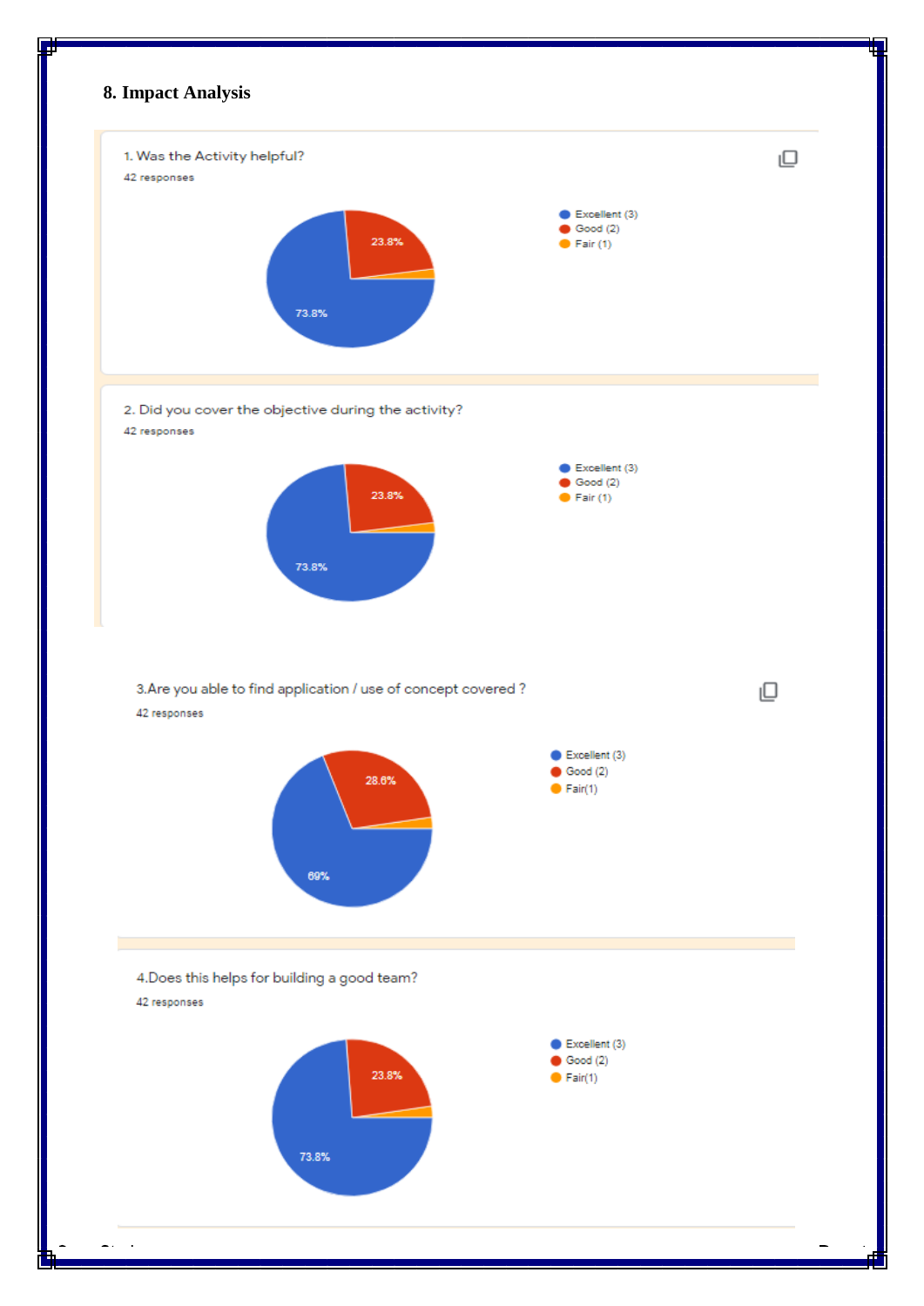# **8. Impact Analysis**